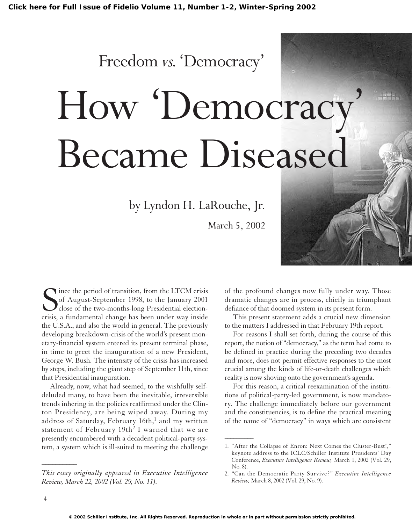Freedom *vs.*'Democracy'

# How 'Democracy' Became Diseased

by Lyndon H. LaRouche, Jr.

March 5, 2002

Since the period of transition, from the LTCM crisis<br>of August-September 1998, to the January 2001<br>close of the two-months-long Presidential election-<br>crisis, a fundamental change has been under way inside of August-September 1998, to the January 2001 close of the two-months-long Presidential electioncrisis, a fundamental change has been under way inside the U.S.A., and also the world in general. The previously developing breakdown-crisis of the world's present monetary-financial system entered its present terminal phase, in time to greet the inauguration of a new President, George W. Bush. The intensity of the crisis has increased by steps, including the giant step of September 11th, since that Presidential inauguration.

Already, now, what had seemed, to the wishfully selfdeluded many, to have been the inevitable, irreversible trends inhering in the policies reaffirmed under the Clinton Presidency, are being wiped away. During my address of Saturday, February  $16th$ , and my written statement of February  $19th^2$  I warned that we are presently encumbered with a decadent political-party system, a system which is ill-suited to meeting the challenge

*This essay originally appeared in Executive Intelligence Review, March 22, 2002 (Vol. 29, No. 11).*

of the profound changes now fully under way. Those dramatic changes are in process, chiefly in triumphant defiance of that doomed system in its present form.

This present statement adds a crucial new dimension to the matters I addressed in that February 19th report.

For reasons I shall set forth, during the course of this report, the notion of "democracy," as the term had come to be defined in practice during the preceding two decades and more, does not permit effective responses to the most crucial among the kinds of life-or-death challenges which reality is now shoving onto the government's agenda.

For this reason, a critical reexamination of the institutions of political-party-led government, is now mandatory. The challenge immediately before our government and the constituencies, is to define the practical meaning of the name of "democracy" in ways which are consistent

*\_\_\_\_\_\_\_\_\_\_*

 $\overline{\phantom{a}}$ 

<sup>1.</sup> "After the Collapse of Enron: Next Comes the Cluster-Bust!," keynote address to the ICLC/Schiller Institute Presidents' Day Conference, *Executive Intelligence Review,* March 1, 2002 (Vol. 29, No. 8).

<sup>2. &</sup>quot;Can the Democratic Party Survive?" *Executive Intelligence Review,* March 8, 2002 (Vol. 29, No. 9).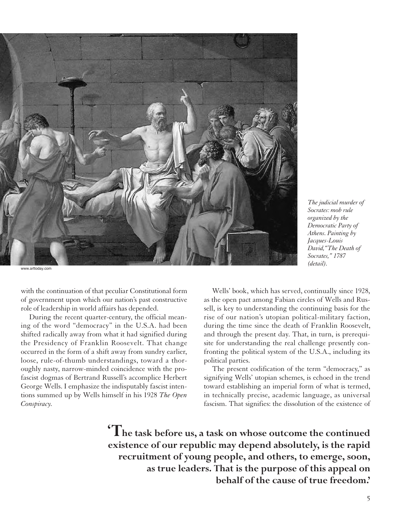

www.arttoday.com

with the continuation of that peculiar Constitutional form of government upon which our nation's past constructive role of leadership in world affairs has depended.

During the recent quarter-century, the official meaning of the word "democracy" in the U.S.A. had been shifted radically away from what it had signified during the Presidency of Franklin Roosevelt. That change occurred in the form of a shift away from sundry earlier, loose, rule-of-thumb understandings, toward a thoroughly nasty, narrow-minded coincidence with the profascist dogmas of Bertrand Russell's accomplice Herbert George Wells. I emphasize the indisputably fascist intentions summed up by Wells himself in his 1928 *The Open Conspiracy.*

Wells' book, which has served, continually since 1928, as the open pact among Fabian circles of Wells and Russell, is key to understanding the continuing basis for the rise of our nation's utopian political-military faction, during the time since the death of Franklin Roosevelt, and through the present day. That, in turn, is prerequisite for understanding the real challenge presently confronting the political system of the U.S.A., including its political parties.

*The judicial murder of Socrates: mob rule organized by the Democratic Party of Athens. Painting by Jacques-Louis David,"The Death of Socrates," 1787 (detail).*

The present codification of the term "democracy," as signifying Wells' utopian schemes, is echoed in the trend toward establishing an imperial form of what is termed, in technically precise, academic language, as universal fascism. That signifies: the dissolution of the existence of

**'The task before us, a task on whose outcome the continued existence of our republic may depend absolutely, is the rapid recruitment of young people, and others, to emerge, soon, as true leaders. That is the purpose of this appeal on behalf of the cause of true freedom.'**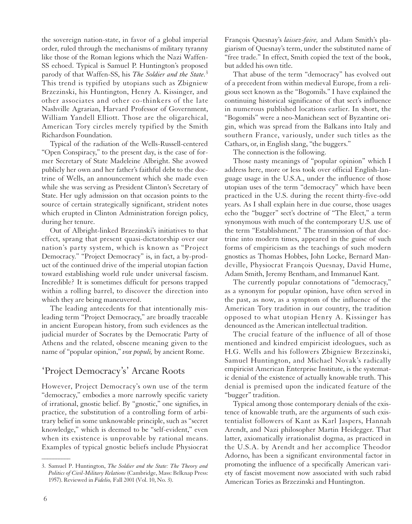the sovereign nation-state, in favor of a global imperial order, ruled through the mechanisms of military tyranny like those of the Roman legions which the Nazi Waffen-SS echoed. Typical is Samuel P. Huntington's proposed parody of that Waffen-SS, his *The Soldier and the State.*<sup>3</sup> This trend is typified by utopians such as Zbigniew Brzezinski, his Huntington, Henry A. Kissinger, and other associates and other co-thinkers of the late Nashville Agrarian, Harvard Professor of Government, William Yandell Elliott. Those are the oligarchical, American Tory circles merely typified by the Smith Richardson Foundation.

Typical of the radiation of the Wells-Russell-centered "Open Conspiracy," to the present day, is the case of former Secretary of State Madeleine Albright. She avowed publicly her own and her father's faithful debt to the doctrine of Wells, an announcement which she made even while she was serving as President Clinton's Secretary of State. Her ugly admission on that occasion points to the source of certain strategically significant, strident notes which erupted in Clinton Administration foreign policy, during her tenure.

Out of Albright-linked Brzezinski's initiatives to that effect, sprang that present quasi-dictatorship over our nation's party system, which is known as "Project Democracy." "Project Democracy" is, in fact, a by-product of the continued drive of the imperial utopian faction toward establishing world rule under universal fascism. Incredible? It is sometimes difficult for persons trapped within a rolling barrel, to discover the direction into which they are being maneuvered.

The leading antecedents for that intentionally misleading term "Project Democracy," are broadly traceable in ancient European history, from such evidences as the judicial murder of Socrates by the Democratic Party of Athens and the related, obscene meaning given to the name of "popular opinion," *vox populi,* by ancient Rome.

## 'Project Democracy's' Arcane Roots

However, Project Democracy's own use of the term "democracy," embodies a more narrowly specific variety of irrational, gnostic belief. By "gnostic," one signifies, in practice, the substitution of a controlling form of arbitrary belief in some unknowable principle, such as "secret knowledge," which is deemed to be "self-evident," even when its existence is unprovable by rational means. Examples of typical gnostic beliefs include Physiocrat François Quesnay's *laissez-faire,* and Adam Smith's plagiarism of Quesnay's term, under the substituted name of "free trade." In effect, Smith copied the text of the book, but added his own title.

That abuse of the term "democracy" has evolved out of a precedent from within medieval Europe, from a religious sect known as the "Bogomils." I have explained the continuing historical significance of that sect's influence in numerous published locations earlier. In short, the "Bogomils" were a neo-Manichean sect of Byzantine origin, which was spread from the Balkans into Italy and southern France, variously, under such titles as the Cathars, or, in English slang, "the buggers."

The connection is the following.

Those nasty meanings of "popular opinion" which I address here, more or less took over official English-language usage in the U.S.A., under the influence of those utopian uses of the term "democracy" which have been practiced in the U.S. during the recent thirty-five-odd years. As I shall explain here in due course, those usages echo the "bugger" sect's doctrine of "The Elect," a term synonymous with much of the contemporary U.S. use of the term "Establishment." The transmission of that doctrine into modern times, appeared in the guise of such forms of empiricism as the teachings of such modern gnostics as Thomas Hobbes, John Locke, Bernard Mandeville, Physiocrat François Quesnay, David Hume, Adam Smith, Jeremy Bentham, and Immanuel Kant.

The currently popular connotations of "democracy," as a synonym for popular opinion, have often served in the past, as now, as a symptom of the influence of the American Tory tradition in our country, the tradition opposed to what utopian Henry A. Kissinger has denounced as the American intellectual tradition.

The crucial feature of the influence of all of those mentioned and kindred empiricist ideologues, such as H.G. Wells and his followers Zbigniew Brzezinski, Samuel Huntington, and Michael Novak's radically empiricist American Enterprise Institute, is the systematic denial of the existence of actually knowable truth. This denial is premised upon the indicated feature of the "bugger" tradition.

Typical among those contemporary denials of the existence of knowable truth, are the arguments of such existentialist followers of Kant as Karl Jaspers, Hannah Arendt, and Nazi philosopher Martin Heidegger. That latter, axiomatically irrationalist dogma, as practiced in the U.S.A. by Arendt and her accomplice Theodor Adorno, has been a significant environmental factor in promoting the influence of a specifically American variety of fascist movement now associated with such rabid American Tories as Brzezinski and Huntington.

 $\overline{\phantom{a}}$ 

<sup>3.</sup> Samuel P. Huntington, *The Soldier and the State: The Theory and Politics of Civil-Military Relations* (Cambridge, Mass: Belknap Press: 1957). Reviewed in *Fidelio,* Fall 2001 (Vol. 10, No. 3).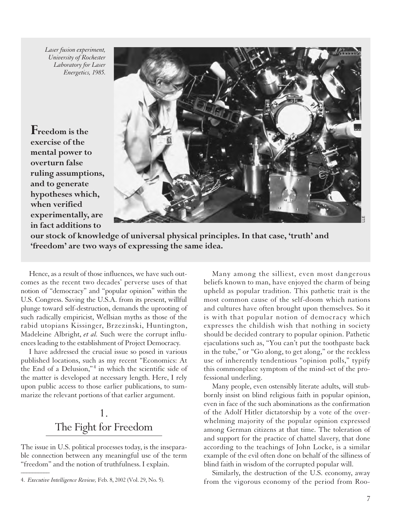*Laser fusion experiment, University of Rochester Laboratory for Laser Energetics, 1985.*

**Freedom is the exercise of the mental power to overturn false ruling assumptions, and to generate hypotheses which, when verified experimentally, are in fact additions to**



**our stock of knowledge of universal physical principles. In that case, 'truth' and 'freedom' are two ways of expressing the same idea.**

Hence, as a result of those influences, we have such outcomes as the recent two decades' perverse uses of that notion of "democracy" and "popular opinion" within the U.S. Congress. Saving the U.S.A. from its present, willful plunge toward self-destruction, demands the uprooting of such radically empiricist, Wellsian myths as those of the rabid utopians Kissinger, Brzezinski, Huntington, Madeleine Albright, *et al.* Such were the corrupt influences leading to the establishment of Project Democracy.

I have addressed the crucial issue so posed in various published locations, such as my recent "Economics: At the End of a Delusion,"<sup>4</sup> in which the scientific side of the matter is developed at necessary length. Here, I rely upon public access to those earlier publications, to summarize the relevant portions of that earlier argument.

# 1. The Fight for Freedom

The issue in U.S. political processes today, is the inseparable connection between any meaningful use of the term "freedom" and the notion of truthfulness. I explain.  $\overline{\phantom{a}}$ 

Many among the silliest, even most dangerous beliefs known to man, have enjoyed the charm of being upheld as popular tradition. This pathetic trait is the most common cause of the self-doom which nations and cultures have often brought upon themselves. So it is with that popular notion of democracy which expresses the childish wish that nothing in society should be decided contrary to popular opinion. Pathetic ejaculations such as, "You can't put the toothpaste back in the tube," or "Go along, to get along," or the reckless use of inherently tendentious "opinion polls," typify this commonplace symptom of the mind-set of the professional underling.

Many people, even ostensibly literate adults, will stubbornly insist on blind religious faith in popular opinion, even in face of the such abominations as the confirmation of the Adolf Hitler dictatorship by a vote of the overwhelming majority of the popular opinion expressed among German citizens at that time. The toleration of and support for the practice of chattel slavery, that done according to the teachings of John Locke, is a similar example of the evil often done on behalf of the silliness of blind faith in wisdom of the corrupted popular will.

Similarly, the destruction of the U.S. economy, away from the vigorous economy of the period from Roo-

<sup>4.</sup> *Executive Intelligence Review,* Feb. 8, 2002 (Vol. 29, No. 5).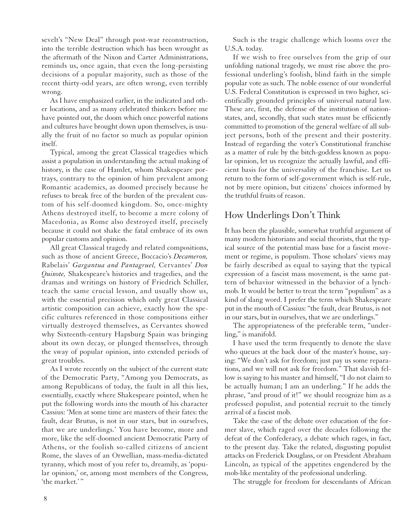sevelt's "New Deal" through post-war reconstruction, into the terrible destruction which has been wrought as the aftermath of the Nixon and Carter Administrations, reminds us, once again, that even the long-persisting decisions of a popular majority, such as those of the recent thirty-odd years, are often wrong, even terribly wrong.

As I have emphasized earlier, in the indicated and other locations, and as many celebrated thinkers before me have pointed out, the doom which once powerful nations and cultures have brought down upon themselves, is usually the fruit of no factor so much as popular opinion itself.

Typical, among the great Classical tragedies which assist a population in understanding the actual making of history, is the case of Hamlet, whom Shakespeare portrays, contrary to the opinion of him prevalent among Romantic academics, as doomed precisely because he refuses to break free of the burden of the prevalent custom of his self-doomed kingdom. So, once-mighty Athens destroyed itself, to become a mere colony of Macedonia, as Rome also destroyed itself, precisely because it could not shake the fatal embrace of its own popular customs and opinion.

All great Classical tragedy and related compositions, such as those of ancient Greece, Boccacio's *Decameron,* Rabelais' *Gargantua and Pantagruel,* Cervantes' *Don Quixote,* Shakespeare's histories and tragedies, and the dramas and writings on history of Friedrich Schiller, teach the same crucial lesson, and usually show us, with the essential precision which only great Classical artistic composition can achieve, exactly how the specific cultures referenced in those compositions either virtually destroyed themselves, as Cervantes showed why Sixteenth-century Hapsburg Spain was bringing about its own decay, or plunged themselves, through the sway of popular opinion, into extended periods of great troubles.

As I wrote recently on the subject of the current state of the Democratic Party, "Among you Democrats, as among Republicans of today, the fault in all this lies, essentially, exactly where Shakespeare pointed, when he put the following words into the mouth of his character Cassius: 'Men at some time are masters of their fates: the fault, dear Brutus, is not in our stars, but in ourselves, that we are underlings.' You have become, more and more, like the self-doomed ancient Democratic Party of Athens, or the foolish so-called citizens of ancient Rome, the slaves of an Orwellian, mass-media-dictated tyranny, which most of you refer to, dreamily, as 'popular opinion,' or, among most members of the Congress, 'the market.'"

Such is the tragic challenge which looms over the U.S.A. today.

If we wish to free ourselves from the grip of our unfolding national tragedy, we must rise above the professional underling's foolish, blind faith in the simple popular vote as such. The noble essence of our wonderful U.S. Federal Constitution is expressed in two higher, scientifically grounded principles of universal natural law. These are, first, the defense of the institution of nationstates, and, secondly, that such states must be efficiently committed to promotion of the general welfare of all subject persons, both of the present and their posterity. Instead of regarding the voter's Constitutional franchise as a matter of rule by the bitch-goddess known as popular opinion, let us recognize the actually lawful, and efficient basis for the universality of the franchise. Let us return to the form of self-government which is self-rule, not by mere opinion, but citizens' choices informed by the truthful fruits of reason.

## How Underlings Don't Think

It has been the plausible, somewhat truthful argument of many modern historians and social theorists, that the typical source of the potential mass base for a fascist movement or regime, is populism. Those scholars' views may be fairly described as equal to saying that the typical expression of a fascist mass movement, is the same pattern of behavior witnessed in the behavior of a lynchmob. It would be better to treat the term "populism" as a kind of slang word. I prefer the term which Shakespeare put in the mouth of Cassius: "the fault, dear Brutus, is not in our stars, but in ourselves, that we are underlings."

The appropriateness of the preferable term, "underling," is manifold.

I have used the term frequently to denote the slave who queues at the back door of the master's house, saying: "We don't ask for freedom; just pay us some reparations, and we will not ask for freedom." That slavish fellow is saying to his master and himself, "I do not claim to be actually human; I am an underling." If he adds the phrase, "and proud of it!" we should recognize him as a professed populist, and potential recruit to the timely arrival of a fascist mob.

Take the case of the debate over education of the former slave, which raged over the decades following the defeat of the Confederacy, a debate which rages, in fact, to the present day. Take the related, disgusting populist attacks on Frederick Douglass, or on President Abraham Lincoln, as typical of the appetites engendered by the mob-like mentality of the professional underling.

The struggle for freedom for descendants of African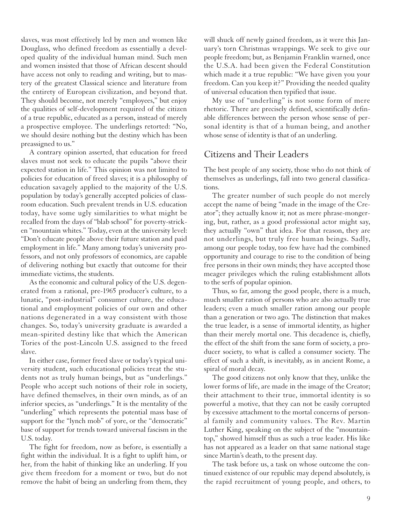slaves, was most effectively led by men and women like Douglass, who defined freedom as essentially a developed quality of the individual human mind. Such men and women insisted that those of African descent should have access not only to reading and writing, but to mastery of the greatest Classical science and literature from the entirety of European civilization, and beyond that. They should become, not merely "employees," but enjoy the qualities of self-development required of the citizen of a true republic, educated as a person, instead of merely a prospective employee. The underlings retorted: "No, we should desire nothing but the destiny which has been preassigned to us."

A contrary opinion asserted, that education for freed slaves must not seek to educate the pupils "above their expected station in life." This opinion was not limited to policies for education of freed slaves; it is a philosophy of education savagely applied to the majority of the U.S. population by today's generally accepted policies of classroom education. Such prevalent trends in U.S. education today, have some ugly similarities to what might be recalled from the days of "blab school" for poverty-stricken "mountain whites." Today, even at the university level: "Don't educate people above their future station and paid employment in life." Many among today's university professors, and not only professors of economics, are capable of delivering nothing but exactly that outcome for their immediate victims, the students.

As the economic and cultural policy of the U.S. degenerated from a rational, pre-1965 producer's culture, to a lunatic, "post-industrial" consumer culture, the educational and employment policies of our own and other nations degenerated in a way consistent with those changes. So, today's university graduate is awarded a mean-spirited destiny like that which the American Tories of the post-Lincoln U.S. assigned to the freed slave.

In either case, former freed slave or today's typical university student, such educational policies treat the students not as truly human beings, but as "underlings." People who accept such notions of their role in society, have defined themselves, in their own minds, as of an inferior species, as "underlings." It is the mentality of the "underling" which represents the potential mass base of support for the "lynch mob" of yore, or the "democratic" base of support for trends toward universal fascism in the U.S. today.

The fight for freedom, now as before, is essentially a fight within the individual. It is a fight to uplift him, or her, from the habit of thinking like an underling. If you give them freedom for a moment or two, but do not remove the habit of being an underling from them, they

will shuck off newly gained freedom, as it were this January's torn Christmas wrappings. We seek to give our people freedom; but, as Benjamin Franklin warned, once the U.S.A. had been given the Federal Constitution which made it a true republic: "We have given you your freedom. Can you keep it?" Providing the needed quality of universal education then typified that issue.

My use of "underling" is not some form of mere rhetoric. There are precisely defined, scientifically definable differences between the person whose sense of personal identity is that of a human being, and another whose sense of identity is that of an underling.

#### Citizens and Their Leaders

The best people of any society, those who do not think of themselves as underlings, fall into two general classifications.

The greater number of such people do not merely accept the name of being "made in the image of the Creator"; they actually know it; not as mere phrase-mongering, but, rather, as a good professional actor might say, they actually "own" that idea. For that reason, they are not underlings, but truly free human beings. Sadly, among our people today, too few have had the combined opportunity and courage to rise to the condition of being free persons in their own minds; they have accepted those meager privileges which the ruling establishment allots to the serfs of popular opinion.

Thus, so far, among the good people, there is a much, much smaller ration of persons who are also actually true leaders; even a much smaller ration among our people than a generation or two ago. The distinction that makes the true leader, is a sense of immortal identity, as higher than their merely mortal one. This decadence is, chiefly, the effect of the shift from the sane form of society, a producer society, to what is called a consumer society. The effect of such a shift, is inevitably, as in ancient Rome, a spiral of moral decay.

The good citizens not only know that they, unlike the lower forms of life, are made in the image of the Creator; their attachment to their true, immortal identity is so powerful a motive, that they can not be easily corrupted by excessive attachment to the mortal concerns of personal family and community values. The Rev. Martin Luther King, speaking on the subject of the "mountaintop," showed himself thus as such a true leader. His like has not appeared as a leader on that same national stage since Martin's death, to the present day.

The task before us, a task on whose outcome the continued existence of our republic may depend absolutely, is the rapid recruitment of young people, and others, to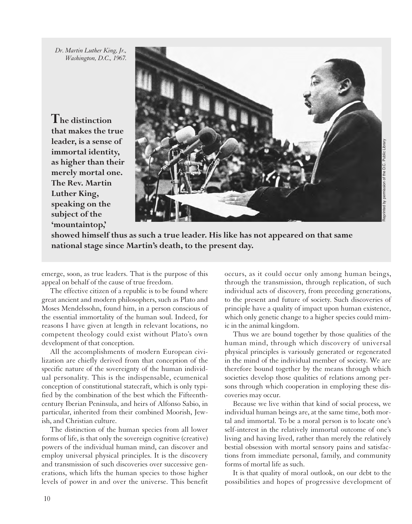*Dr. Martin Luther King, Jr., Washington, D.C., 1967.*

**The distinction that makes the true leader, is a sense of immortal identity, as higher than their merely mortal one. The Rev. Martin Luther King, speaking on the subject of the 'mountaintop,'**



**showed himself thus as such a true leader. His like has not appeared on that same national stage since Martin's death, to the present day.**

emerge, soon, as true leaders. That is the purpose of this appeal on behalf of the cause of true freedom.

The effective citizen of a republic is to be found where great ancient and modern philosophers, such as Plato and Moses Mendelssohn, found him, in a person conscious of the essential immortality of the human soul. Indeed, for reasons I have given at length in relevant locations, no competent theology could exist without Plato's own development of that conception.

All the accomplishments of modern European civilization are chiefly derived from that conception of the specific nature of the sovereignty of the human individual personality. This is the indispensable, ecumenical conception of constitutional statecraft, which is only typified by the combination of the best which the Fifteenthcentury Iberian Peninsula, and heirs of Alfonso Sabio, in particular, inherited from their combined Moorish, Jewish, and Christian culture.

The distinction of the human species from all lower forms of life, is that only the sovereign cognitive (creative) powers of the individual human mind, can discover and employ universal physical principles. It is the discovery and transmission of such discoveries over successive generations, which lifts the human species to those higher levels of power in and over the universe. This benefit occurs, as it could occur only among human beings, through the transmission, through replication, of such individual acts of discovery, from preceding generations, to the present and future of society. Such discoveries of principle have a quality of impact upon human existence, which only genetic change to a higher species could mimic in the animal kingdom.

Thus we are bound together by those qualities of the human mind, through which discovery of universal physical principles is variously generated or regenerated in the mind of the individual member of society. We are therefore bound together by the means through which societies develop those qualities of relations among persons through which cooperation in employing these discoveries may occur.

Because we live within that kind of social process, we individual human beings are, at the same time, both mortal and immortal. To be a moral person is to locate one's self-interest in the relatively immortal outcome of one's living and having lived, rather than merely the relatively bestial obsession with mortal sensory pains and satisfactions from immediate personal, family, and community forms of mortal life as such.

It is that quality of moral outlook, on our debt to the possibilities and hopes of progressive development of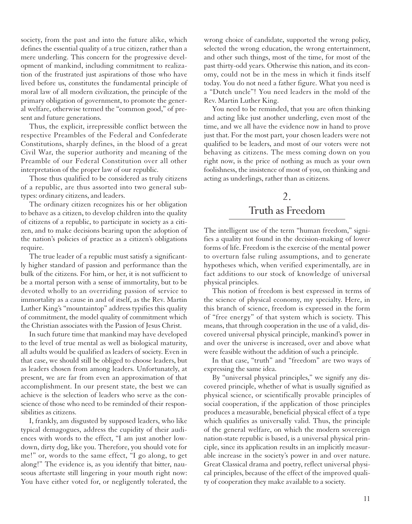society, from the past and into the future alike, which defines the essential quality of a true citizen, rather than a mere underling. This concern for the progressive development of mankind, including commitment to realization of the frustrated just aspirations of those who have lived before us, constitutes the fundamental principle of moral law of all modern civilization, the principle of the primary obligation of government, to promote the general welfare, otherwise termed the "common good," of present and future generations.

Thus, the explicit, irrepressible conflict between the respective Preambles of the Federal and Confederate Constitutions, sharply defines, in the blood of a great Civil War, the superior authority and meaning of the Preamble of our Federal Constitution over all other interpretation of the proper law of our republic.

Those thus qualified to be considered as truly citizens of a republic, are thus assorted into two general subtypes: ordinary citizens, and leaders.

The ordinary citizen recognizes his or her obligation to behave as a citizen, to develop children into the quality of citizens of a republic, to participate in society as a citizen, and to make decisions bearing upon the adoption of the nation's policies of practice as a citizen's obligations require.

The true leader of a republic must satisfy a significantly higher standard of passion and performance than the bulk of the citizens. For him, or her, it is not sufficient to be a mortal person with a sense of immortality, but to be devoted wholly to an overriding passion of service to immortality as a cause in and of itself, as the Rev. Martin Luther King's "mountaintop" address typifies this quality of commitment, the model quality of commitment which the Christian associates with the Passion of Jesus Christ.

In such future time that mankind may have developed to the level of true mental as well as biological maturity, all adults would be qualified as leaders of society. Even in that case, we should still be obliged to choose leaders, but as leaders chosen from among leaders. Unfortunately, at present, we are far from even an approximation of that accomplishment. In our present state, the best we can achieve is the selection of leaders who serve as the conscience of those who need to be reminded of their responsibilities as citizens.

I, frankly, am disgusted by supposed leaders, who like typical demagogues, address the cupidity of their audiences with words to the effect, "I am just another lowdown, dirty dog, like you. Therefore, you should vote for me!" or, words to the same effect, "I go along, to get along!" The evidence is, as you identify that bitter, nauseous aftertaste still lingering in your mouth right now: You have either voted for, or negligently tolerated, the

wrong choice of candidate, supported the wrong policy, selected the wrong education, the wrong entertainment, and other such things, most of the time, for most of the past thirty-odd years. Otherwise this nation, and its economy, could not be in the mess in which it finds itself today. You do not need a father figure. What you need is a "Dutch uncle"! You need leaders in the mold of the Rev. Martin Luther King.

You need to be reminded, that you are often thinking and acting like just another underling, even most of the time, and we all have the evidence now in hand to prove just that. For the most part, your chosen leaders were not qualified to be leaders, and most of our voters were not behaving as citizens. The mess coming down on you right now, is the price of nothing as much as your own foolishness, the insistence of most of you, on thinking and acting as underlings, rather than as citizens.

# 2. Truth as Freedom

The intelligent use of the term "human freedom," signifies a quality not found in the decision-making of lower forms of life. Freedom is the exercise of the mental power to overturn false ruling assumptions, and to generate hypotheses which, when verified experimentally, are in fact additions to our stock of knowledge of universal physical principles.

This notion of freedom is best expressed in terms of the science of physical economy, my specialty. Here, in this branch of science, freedom is expressed in the form of "free energy" of that system which is society. This means, that through cooperation in the use of a valid, discovered universal physical principle, mankind's power in and over the universe is increased, over and above what were feasible without the addition of such a principle.

In that case, "truth" and "freedom" are two ways of expressing the same idea.

By "universal physical principles," we signify any discovered principle, whether of what is usually signified as physical science, or scientifically provable principles of social cooperation, if the application of those principles produces a measurable, beneficial physical effect of a type which qualifies as universally valid. Thus, the principle of the general welfare, on which the modern sovereign nation-state republic is based, is a universal physical principle, since its application results in an implicitly measurable increase in the society's power in and over nature. Great Classical drama and poetry, reflect universal physical principles, because of the effect of the improved quality of cooperation they make available to a society.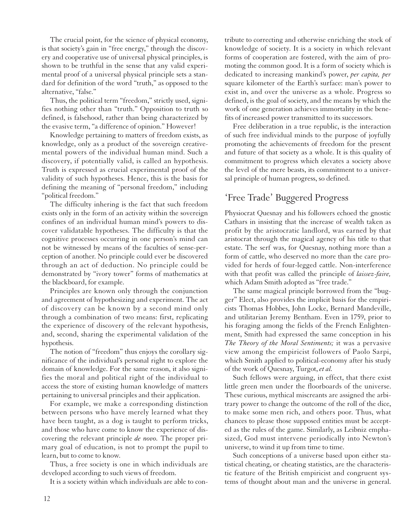The crucial point, for the science of physical economy, is that society's gain in "free energy," through the discovery and cooperative use of universal physical principles, is shown to be truthful in the sense that any valid experimental proof of a universal physical principle sets a standard for definition of the word "truth," as opposed to the alternative, "false."

Thus, the political term "freedom," strictly used, signifies nothing other than "truth." Opposition to truth so defined, is falsehood, rather than being characterized by the evasive term, "a difference of opinion." However!

Knowledge pertaining to matters of freedom exists, as knowledge, only as a product of the sovereign creativemental powers of the individual human mind. Such a discovery, if potentially valid, is called an hypothesis. Truth is expressed as crucial experimental proof of the validity of such hypotheses. Hence, this is the basis for defining the meaning of "personal freedom," including "political freedom."

The difficulty inhering is the fact that such freedom exists only in the form of an activity within the sovereign confines of an individual human mind's powers to discover validatable hypotheses. The difficulty is that the cognitive processes occurring in one person's mind can not be witnessed by means of the faculties of sense-perception of another. No principle could ever be discovered through an act of deduction. No principle could be demonstrated by "ivory tower" forms of mathematics at the blackboard, for example.

Principles are known only through the conjunction and agreement of hypothesizing and experiment. The act of discovery can be known by a second mind only through a combination of two means: first, replicating the experience of discovery of the relevant hypothesis, and, second, sharing the experimental validation of the hypothesis.

The notion of "freedom" thus enjoys the corollary significance of the individual's personal right to explore the domain of knowledge. For the same reason, it also signifies the moral and political right of the individual to access the store of existing human knowledge of matters pertaining to universal principles and their application.

For example, we make a corresponding distinction between persons who have merely learned what they have been taught, as a dog is taught to perform tricks, and those who have come to know the experience of discovering the relevant principle *de novo.* The proper primary goal of education, is not to prompt the pupil to learn, but to come to know.

Thus, a free society is one in which individuals are developed according to such views of freedom.

It is a society within which individuals are able to con-

tribute to correcting and otherwise enriching the stock of knowledge of society. It is a society in which relevant forms of cooperation are fostered, with the aim of promoting the common good. It is a form of society which is dedicated to increasing mankind's power, *per capita, per* square kilometer of the Earth's surface: man's power to exist in, and over the universe as a whole. Progress so defined, is the goal of society, and the means by which the work of one generation achieves immortality in the benefits of increased power transmitted to its successors.

Free deliberation in a true republic, is the interaction of such free individual minds to the purpose of joyfully promoting the achievements of freedom for the present and future of that society as a whole. It is this quality of commitment to progress which elevates a society above the level of the mere beasts, its commitment to a universal principle of human progress, so defined.

## 'Free Trade' Buggered Progress

Physiocrat Quesnay and his followers echoed the gnostic Cathars in insisting that the increase of wealth taken as profit by the aristocratic landlord, was earned by that aristocrat through the magical agency of his title to that estate. The serf was, for Quesnay, nothing more than a form of cattle, who deserved no more than the care provided for herds of four-legged cattle. Non-interference with that profit was called the principle of *laissez-faire,* which Adam Smith adopted as "free trade."

The same magical principle borrowed from the "bugger" Elect, also provides the implicit basis for the empiricists Thomas Hobbes, John Locke, Bernard Mandeville, and utilitarian Jeremy Bentham. Even in 1759, prior to his foraging among the fields of the French Enlightenment, Smith had expressed the same conception in his *The Theory of the Moral Sentiments;* it was a pervasive view among the empiricist followers of Paolo Sarpi, which Smith applied to political-economy after his study of the work of Quesnay, Turgot, *et al.*

Such fellows were arguing, in effect, that there exist little green men under the floorboards of the universe. These curious, mythical miscreants are assigned the arbitrary power to change the outcome of the roll of the dice, to make some men rich, and others poor. Thus, what chances to please those supposed entities must be accepted as the rules of the game. Similarly, as Leibniz emphasized, God must intervene periodically into Newton's universe, to wind it up from time to time.

Such conceptions of a universe based upon either statistical cheating, or cheating statistics, are the characteristic feature of the British empiricist and congruent systems of thought about man and the universe in general.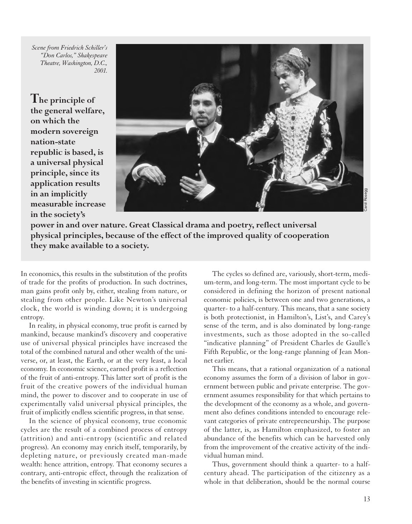*Scene from Friedrich Schiller's "Don Carlos," Shakespeare Theatre, Washington, D.C., 2001.*

**The principle of the general welfare, on which the modern sovereign nation-state republic is based, is a universal physical principle, since its application results in an implicitly measurable increase in the society's**



**power in and over nature. Great Classical drama and poetry, reflect universal physical principles, because of the effect of the improved quality of cooperation they make available to a society.**

In economics, this results in the substitution of the profits of trade for the profits of production. In such doctrines, man gains profit only by, either, stealing from nature, or stealing from other people. Like Newton's universal clock, the world is winding down; it is undergoing entropy.

In reality, in physical economy, true profit is earned by mankind, because mankind's discovery and cooperative use of universal physical principles have increased the total of the combined natural and other wealth of the universe, or, at least, the Earth, or at the very least, a local economy. In economic science, earned profit is a reflection of the fruit of anti-entropy. This latter sort of profit is the fruit of the creative powers of the individual human mind, the power to discover and to cooperate in use of experimentally valid universal physical principles, the fruit of implicitly endless scientific progress, in that sense.

In the science of physical economy, true economic cycles are the result of a combined process of entropy (attrition) and anti-entropy (scientific and related progress). An economy may enrich itself, temporarily, by depleting nature, or previously created man-made wealth: hence attrition, entropy. That economy secures a contrary, anti-entropic effect, through the realization of the benefits of investing in scientific progress.

The cycles so defined are, variously, short-term, medium-term, and long-term. The most important cycle to be considered in defining the horizon of present national economic policies, is between one and two generations, a quarter- to a half-century. This means, that a sane society is both protectionist, in Hamilton's, List's, and Carey's sense of the term, and is also dominated by long-range investments, such as those adopted in the so-called "indicative planning" of President Charles de Gaulle's Fifth Republic, or the long-range planning of Jean Monnet earlier.

This means, that a rational organization of a national economy assumes the form of a division of labor in government between public and private enterprise. The government assumes responsibility for that which pertains to the development of the economy as a whole, and government also defines conditions intended to encourage relevant categories of private entrepreneurship. The purpose of the latter, is, as Hamilton emphasized, to foster an abundance of the benefits which can be harvested only from the improvement of the creative activity of the individual human mind.

Thus, government should think a quarter- to a halfcentury ahead. The participation of the citizenry as a whole in that deliberation, should be the normal course